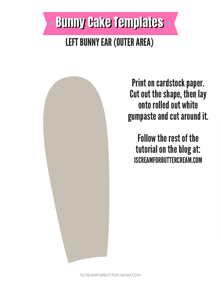



Print on cardstock paper. Cut out the shape, then lay onto rolled out white gumpaste and cut around it.

**Follow the rest of the** tutorial on the blog at: **ISCREAMFORBUTTERCREAM.COM**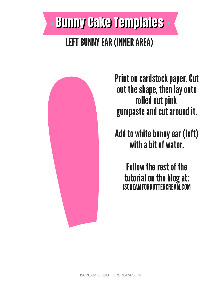# - Bunny Cake Templates **LEFT BUNNY EAR (INNER AREA)**



**Print on cardstock paper. Cut** out the shape, then lay onto rolled out pink gumpaste and cut around it.

Add to white bunny ear (left) with a bit of water.

**Follow the rest of the tutorial on the blog at:<br>ISCREAMFORBUTTERCREAM.COM**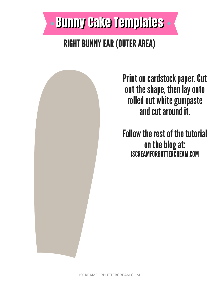

## **RIGHT BUNNY EAR (OUTER AREA)**



**Print on cardstock paper. Cut** out the shape, then lay onto rolled out white gumpaste and cut around it.

**Follow the rest of the tutorial** on the blog at: **ISCREAMFORBUTTERCREAM.COM**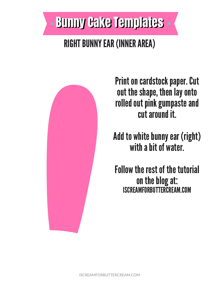# - Bunny Cake Templates

#### **RIGHT BUNNY EAR (INNER AREA)**



**Print on cardstock paper. Cut** out the shape, then lay onto rolled out pink gumpaste and cut around it.

Add to white bunny ear (right) with a bit of water.

**Follow the rest of the tutorial** on the blog at: **ISCREAMFORBUTTERCREAM.COM**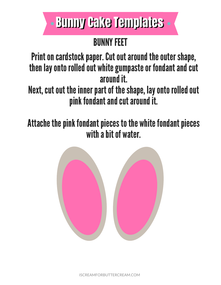# **. Bunny Cake Templates**

## **BUNNY FEET**

Print on cardstock paper. Cut out around the outer shape, then lay onto rolled out white gumpaste or fondant and cut around it.

Next, cut out the inner part of the shape, lay onto rolled out pink fondant and cut around it.

Attache the pink fondant pieces to the white fondant pieces with a bit of water.



ISCREAMFORBUTTERCREAM.COM